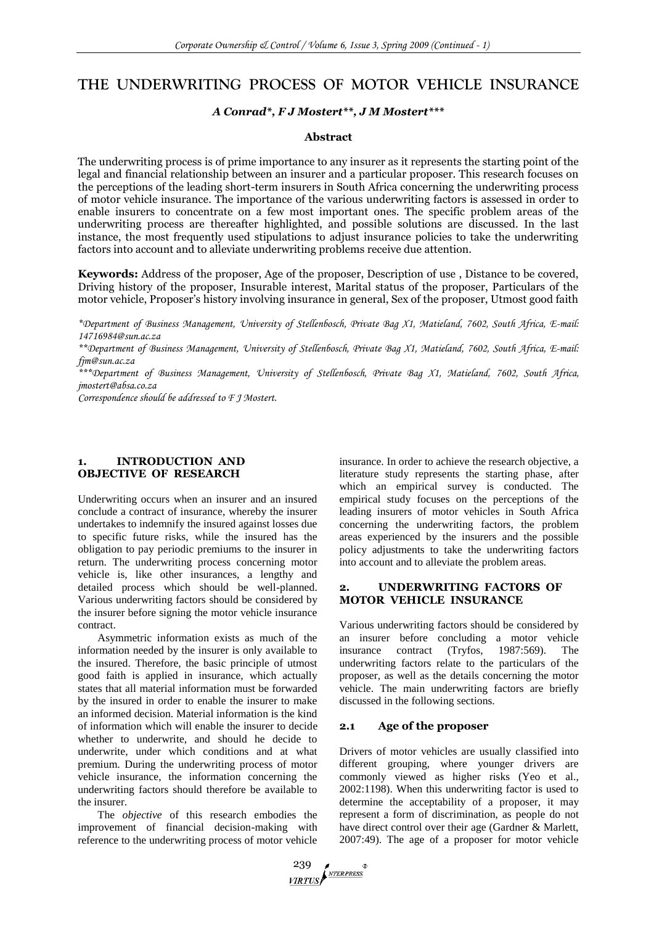# **THE UNDERWRITING PROCESS OF MOTOR VEHICLE INSURANCE**

#### *A Conrad\*, F J Mostert\*\*, J M Mostert\*\*\**

#### **Abstract**

The underwriting process is of prime importance to any insurer as it represents the starting point of the legal and financial relationship between an insurer and a particular proposer. This research focuses on the perceptions of the leading short-term insurers in South Africa concerning the underwriting process of motor vehicle insurance. The importance of the various underwriting factors is assessed in order to enable insurers to concentrate on a few most important ones. The specific problem areas of the underwriting process are thereafter highlighted, and possible solutions are discussed. In the last instance, the most frequently used stipulations to adjust insurance policies to take the underwriting factors into account and to alleviate underwriting problems receive due attention.

**Keywords:** Address of the proposer, Age of the proposer, Description of use , Distance to be covered, Driving history of the proposer, Insurable interest, Marital status of the proposer, Particulars of the motor vehicle, Proposer"s history involving insurance in general, Sex of the proposer, Utmost good faith

*\*Department of Business Management, University of Stellenbosch, Private Bag X1, Matieland, 7602, South Africa, E-mail: [14716984@sun.ac.za](mailto:14716984@sun.ac.za)*

*\*\*Department of Business Management, University of Stellenbosch, Private Bag X1, Matieland, 7602, South Africa, E-mail: fjm@sun.ac.za*

*\*\*\*Department of Business Management, University of Stellenbosch, Private Bag X1, Matieland, 7602, South Africa, jmostert@absa.co.za*

*Correspondence should be addressed to F J Mostert.* 

# **1. INTRODUCTION AND OBJECTIVE OF RESEARCH**

Underwriting occurs when an insurer and an insured conclude a contract of insurance, whereby the insurer undertakes to indemnify the insured against losses due to specific future risks, while the insured has the obligation to pay periodic premiums to the insurer in return. The underwriting process concerning motor vehicle is, like other insurances, a lengthy and detailed process which should be well-planned. Various underwriting factors should be considered by the insurer before signing the motor vehicle insurance contract.

Asymmetric information exists as much of the information needed by the insurer is only available to the insured. Therefore, the basic principle of utmost good faith is applied in insurance, which actually states that all material information must be forwarded by the insured in order to enable the insurer to make an informed decision. Material information is the kind of information which will enable the insurer to decide whether to underwrite, and should he decide to underwrite, under which conditions and at what premium. During the underwriting process of motor vehicle insurance, the information concerning the underwriting factors should therefore be available to the insurer.

The *objective* of this research embodies the improvement of financial decision-making with reference to the underwriting process of motor vehicle

insurance. In order to achieve the research objective, a literature study represents the starting phase, after which an empirical survey is conducted. The empirical study focuses on the perceptions of the leading insurers of motor vehicles in South Africa concerning the underwriting factors, the problem areas experienced by the insurers and the possible policy adjustments to take the underwriting factors into account and to alleviate the problem areas.

# **2. UNDERWRITING FACTORS OF MOTOR VEHICLE INSURANCE**

Various underwriting factors should be considered by an insurer before concluding a motor vehicle insurance contract (Tryfos, 1987:569). The underwriting factors relate to the particulars of the proposer, as well as the details concerning the motor vehicle. The main underwriting factors are briefly discussed in the following sections.

#### **2.1 Age of the proposer**

Drivers of motor vehicles are usually classified into different grouping, where younger drivers are commonly viewed as higher risks (Yeo et al., 2002:1198). When this underwriting factor is used to determine the acceptability of a proposer, it may represent a form of discrimination, as people do not have direct control over their age (Gardner & Marlett, 2007:49). The age of a proposer for motor vehicle

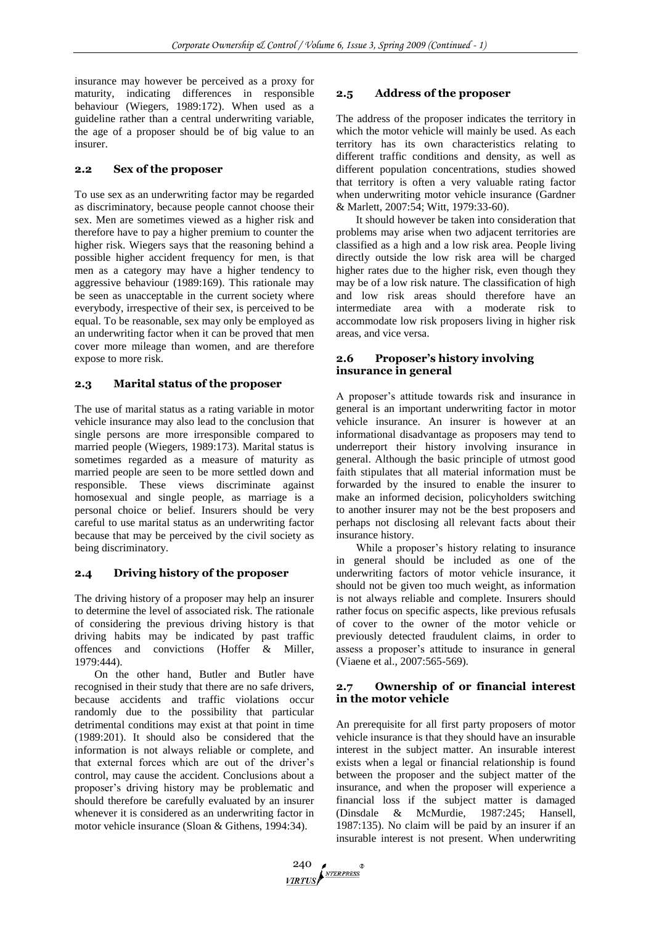insurance may however be perceived as a proxy for maturity, indicating differences in responsible behaviour (Wiegers, 1989:172). When used as a guideline rather than a central underwriting variable, the age of a proposer should be of big value to an insurer.

# **2.2 Sex of the proposer**

To use sex as an underwriting factor may be regarded as discriminatory, because people cannot choose their sex. Men are sometimes viewed as a higher risk and therefore have to pay a higher premium to counter the higher risk. Wiegers says that the reasoning behind a possible higher accident frequency for men, is that men as a category may have a higher tendency to aggressive behaviour (1989:169). This rationale may be seen as unacceptable in the current society where everybody, irrespective of their sex, is perceived to be equal. To be reasonable, sex may only be employed as an underwriting factor when it can be proved that men cover more mileage than women, and are therefore expose to more risk.

# **2.3 Marital status of the proposer**

The use of marital status as a rating variable in motor vehicle insurance may also lead to the conclusion that single persons are more irresponsible compared to married people (Wiegers, 1989:173). Marital status is sometimes regarded as a measure of maturity as married people are seen to be more settled down and responsible. These views discriminate against homosexual and single people, as marriage is a personal choice or belief. Insurers should be very careful to use marital status as an underwriting factor because that may be perceived by the civil society as being discriminatory.

# **2.4 Driving history of the proposer**

The driving history of a proposer may help an insurer to determine the level of associated risk. The rationale of considering the previous driving history is that driving habits may be indicated by past traffic offences and convictions (Hoffer & Miller, 1979:444).

On the other hand, Butler and Butler have recognised in their study that there are no safe drivers, because accidents and traffic violations occur randomly due to the possibility that particular detrimental conditions may exist at that point in time (1989:201). It should also be considered that the information is not always reliable or complete, and that external forces which are out of the driver's control, may cause the accident. Conclusions about a proposer's driving history may be problematic and should therefore be carefully evaluated by an insurer whenever it is considered as an underwriting factor in motor vehicle insurance (Sloan & Githens, 1994:34).

# **2.5 Address of the proposer**

The address of the proposer indicates the territory in which the motor vehicle will mainly be used. As each territory has its own characteristics relating to different traffic conditions and density, as well as different population concentrations, studies showed that territory is often a very valuable rating factor when underwriting motor vehicle insurance (Gardner & Marlett, 2007:54; Witt, 1979:33-60).

It should however be taken into consideration that problems may arise when two adjacent territories are classified as a high and a low risk area. People living directly outside the low risk area will be charged higher rates due to the higher risk, even though they may be of a low risk nature. The classification of high and low risk areas should therefore have an intermediate area with a moderate risk to accommodate low risk proposers living in higher risk areas, and vice versa.

#### **2.6 Proposer"s history involving insurance in general**

A proposer's attitude towards risk and insurance in general is an important underwriting factor in motor vehicle insurance. An insurer is however at an informational disadvantage as proposers may tend to underreport their history involving insurance in general. Although the basic principle of utmost good faith stipulates that all material information must be forwarded by the insured to enable the insurer to make an informed decision, policyholders switching to another insurer may not be the best proposers and perhaps not disclosing all relevant facts about their insurance history.

While a proposer's history relating to insurance in general should be included as one of the underwriting factors of motor vehicle insurance, it should not be given too much weight, as information is not always reliable and complete. Insurers should rather focus on specific aspects, like previous refusals of cover to the owner of the motor vehicle or previously detected fraudulent claims, in order to assess a proposer's attitude to insurance in general (Viaene et al., 2007:565-569).

# **2.7 Ownership of or financial interest in the motor vehicle**

An prerequisite for all first party proposers of motor vehicle insurance is that they should have an insurable interest in the subject matter. An insurable interest exists when a legal or financial relationship is found between the proposer and the subject matter of the insurance, and when the proposer will experience a financial loss if the subject matter is damaged (Dinsdale & McMurdie, 1987:245; Hansell, 1987:135). No claim will be paid by an insurer if an insurable interest is not present. When underwriting

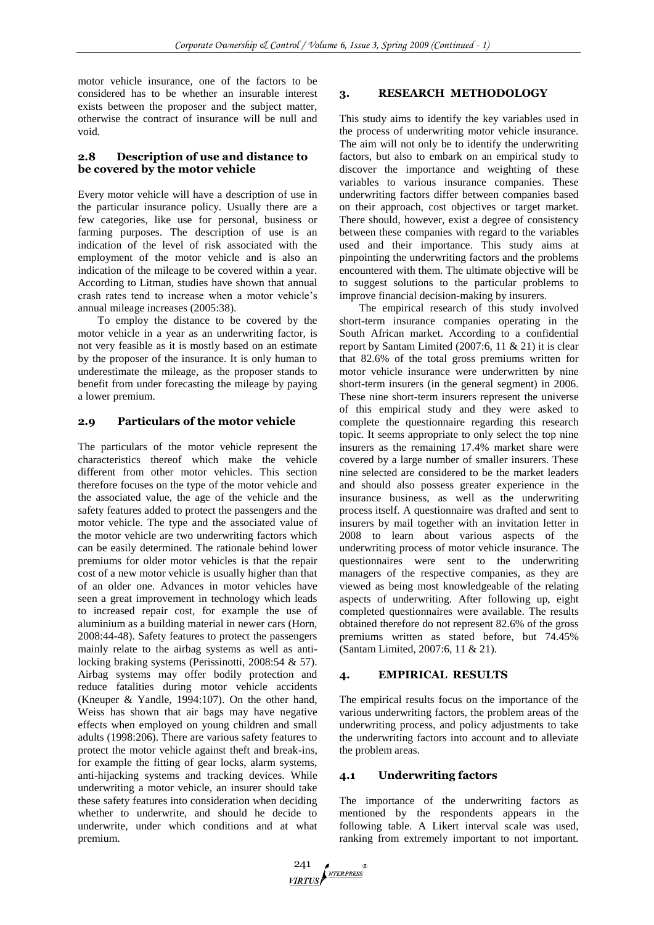motor vehicle insurance, one of the factors to be considered has to be whether an insurable interest exists between the proposer and the subject matter, otherwise the contract of insurance will be null and void.

#### **2.8 Description of use and distance to be covered by the motor vehicle**

Every motor vehicle will have a description of use in the particular insurance policy. Usually there are a few categories, like use for personal, business or farming purposes. The description of use is an indication of the level of risk associated with the employment of the motor vehicle and is also an indication of the mileage to be covered within a year. According to Litman, studies have shown that annual crash rates tend to increase when a motor vehicle's annual mileage increases (2005:38).

To employ the distance to be covered by the motor vehicle in a year as an underwriting factor, is not very feasible as it is mostly based on an estimate by the proposer of the insurance. It is only human to underestimate the mileage, as the proposer stands to benefit from under forecasting the mileage by paying a lower premium.

# **2.9 Particulars of the motor vehicle**

The particulars of the motor vehicle represent the characteristics thereof which make the vehicle different from other motor vehicles. This section therefore focuses on the type of the motor vehicle and the associated value, the age of the vehicle and the safety features added to protect the passengers and the motor vehicle. The type and the associated value of the motor vehicle are two underwriting factors which can be easily determined. The rationale behind lower premiums for older motor vehicles is that the repair cost of a new motor vehicle is usually higher than that of an older one. Advances in motor vehicles have seen a great improvement in technology which leads to increased repair cost, for example the use of aluminium as a building material in newer cars (Horn, 2008:44-48). Safety features to protect the passengers mainly relate to the airbag systems as well as antilocking braking systems (Perissinotti, 2008:54 & 57). Airbag systems may offer bodily protection and reduce fatalities during motor vehicle accidents (Kneuper & Yandle, 1994:107). On the other hand, Weiss has shown that air bags may have negative effects when employed on young children and small adults (1998:206). There are various safety features to protect the motor vehicle against theft and break-ins, for example the fitting of gear locks, alarm systems, anti-hijacking systems and tracking devices. While underwriting a motor vehicle, an insurer should take these safety features into consideration when deciding whether to underwrite, and should he decide to underwrite, under which conditions and at what premium.

# **3. RESEARCH METHODOLOGY**

This study aims to identify the key variables used in the process of underwriting motor vehicle insurance. The aim will not only be to identify the underwriting factors, but also to embark on an empirical study to discover the importance and weighting of these variables to various insurance companies. These underwriting factors differ between companies based on their approach, cost objectives or target market. There should, however, exist a degree of consistency between these companies with regard to the variables used and their importance. This study aims at pinpointing the underwriting factors and the problems encountered with them. The ultimate objective will be to suggest solutions to the particular problems to improve financial decision-making by insurers.

The empirical research of this study involved short-term insurance companies operating in the South African market. According to a confidential report by Santam Limited (2007:6, 11 & 21) it is clear that 82.6% of the total gross premiums written for motor vehicle insurance were underwritten by nine short-term insurers (in the general segment) in 2006. These nine short-term insurers represent the universe of this empirical study and they were asked to complete the questionnaire regarding this research topic. It seems appropriate to only select the top nine insurers as the remaining 17.4% market share were covered by a large number of smaller insurers. These nine selected are considered to be the market leaders and should also possess greater experience in the insurance business, as well as the underwriting process itself. A questionnaire was drafted and sent to insurers by mail together with an invitation letter in 2008 to learn about various aspects of the underwriting process of motor vehicle insurance. The questionnaires were sent to the underwriting managers of the respective companies, as they are viewed as being most knowledgeable of the relating aspects of underwriting. After following up, eight completed questionnaires were available. The results obtained therefore do not represent 82.6% of the gross premiums written as stated before, but 74.45% (Santam Limited, 2007:6, 11 & 21).

# **4. EMPIRICAL RESULTS**

The empirical results focus on the importance of the various underwriting factors, the problem areas of the underwriting process, and policy adjustments to take the underwriting factors into account and to alleviate the problem areas.

#### **4.1 Underwriting factors**

The importance of the underwriting factors as mentioned by the respondents appears in the following table. A Likert interval scale was used, ranking from extremely important to not important.

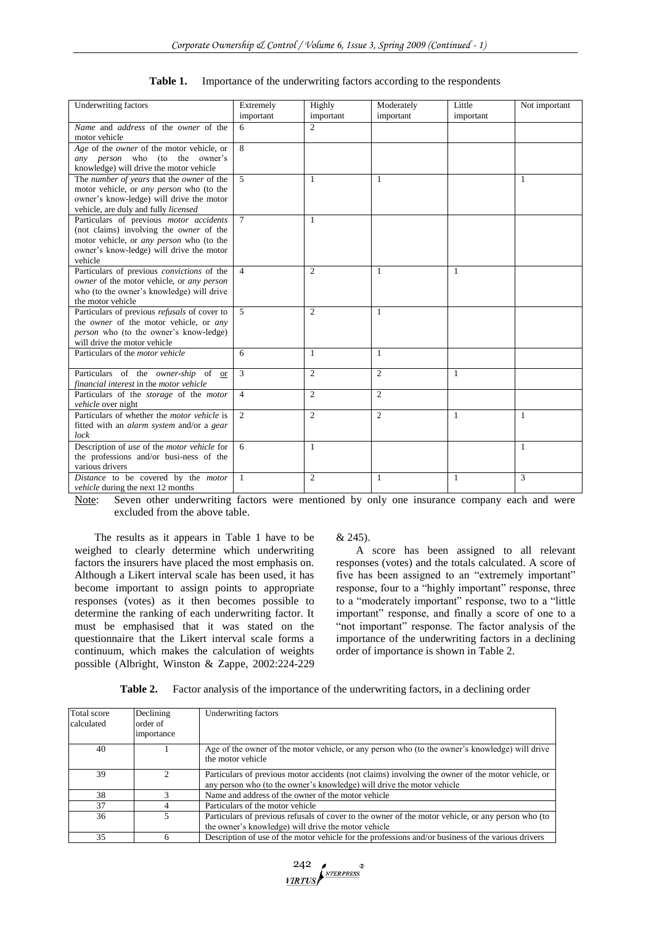| <b>Underwriting factors</b>                                                                                                                                                                         | Extremely      | Highly         | Moderately     | Little       | Not important |
|-----------------------------------------------------------------------------------------------------------------------------------------------------------------------------------------------------|----------------|----------------|----------------|--------------|---------------|
|                                                                                                                                                                                                     | important      | important      | important      | important    |               |
| Name and address of the owner of the<br>motor vehicle                                                                                                                                               | 6              | $\overline{2}$ |                |              |               |
| Age of the owner of the motor vehicle, or<br>any person who (to the owner's<br>knowledge) will drive the motor vehicle                                                                              | 8              |                |                |              |               |
| The number of years that the owner of the<br>motor vehicle, or <i>any person</i> who (to the<br>owner's know-ledge) will drive the motor<br>vehicle, are duly and fully licensed                    | 5              | 1              | 1              |              | 1             |
| Particulars of previous motor accidents<br>(not claims) involving the <i>owner</i> of the<br>motor vehicle, or <i>any person</i> who (to the<br>owner's know-ledge) will drive the motor<br>vehicle | $\tau$         | $\mathbf{1}$   |                |              |               |
| Particulars of previous convictions of the<br>owner of the motor vehicle, or any person<br>who (to the owner's knowledge) will drive<br>the motor vehicle                                           | $\overline{4}$ | $\mathfrak{2}$ | 1              | 1            |               |
| Particulars of previous <i>refusals</i> of cover to<br>the owner of the motor vehicle, or any<br><i>person</i> who (to the owner's know-ledge)<br>will drive the motor vehicle                      | $\overline{5}$ | $\overline{2}$ | 1              |              |               |
| Particulars of the <i>motor</i> vehicle                                                                                                                                                             | 6              | $\mathbf{1}$   | $\mathbf{1}$   |              |               |
| Particulars of the owner-ship of or<br>financial interest in the motor vehicle                                                                                                                      | 3              | $\overline{2}$ | $\overline{c}$ | 1            |               |
| Particulars of the storage of the motor<br><i>vehicle</i> over night                                                                                                                                | $\overline{4}$ | $\mathfrak{2}$ | $\overline{2}$ |              |               |
| Particulars of whether the <i>motor vehicle</i> is<br>fitted with an <i>alarm system</i> and/or a <i>gear</i><br>lock                                                                               | $\mathfrak{D}$ | $\mathfrak{2}$ | $\overline{c}$ | 1            | -1            |
| Description of use of the motor vehicle for<br>the professions and/or busi-ness of the<br>various drivers                                                                                           | 6              | $\mathbf{1}$   |                |              | $\mathbf{1}$  |
| Distance to be covered by the motor<br><i>vehicle</i> during the next 12 months                                                                                                                     | $\mathbf{1}$   | $\mathfrak{2}$ | $\mathbf{1}$   | $\mathbf{1}$ | 3             |

Note: Seven other underwriting factors were mentioned by only one insurance company each and were excluded from the above table.

The results as it appears in Table 1 have to be weighed to clearly determine which underwriting factors the insurers have placed the most emphasis on. Although a Likert interval scale has been used, it has become important to assign points to appropriate responses (votes) as it then becomes possible to determine the ranking of each underwriting factor. It must be emphasised that it was stated on the questionnaire that the Likert interval scale forms a continuum, which makes the calculation of weights possible (Albright, Winston & Zappe, 2002:224-229 & 245).

A score has been assigned to all relevant responses (votes) and the totals calculated. A score of five has been assigned to an "extremely important" response, four to a "highly important" response, three to a "moderately important" response, two to a "little important" response, and finally a score of one to a "not important" response. The factor analysis of the importance of the underwriting factors in a declining order of importance is shown in Table 2.

| Table 2. |  |  | Factor analysis of the importance of the underwriting factors, in a declining order |  |
|----------|--|--|-------------------------------------------------------------------------------------|--|
|----------|--|--|-------------------------------------------------------------------------------------|--|

| Total score<br>calculated | Declining<br>order of<br>importance | Underwriting factors                                                                                                                                                        |
|---------------------------|-------------------------------------|-----------------------------------------------------------------------------------------------------------------------------------------------------------------------------|
| 40                        |                                     | Age of the owner of the motor vehicle, or any person who (to the owner's knowledge) will drive<br>the motor vehicle                                                         |
| 39                        |                                     | Particulars of previous motor accidents (not claims) involving the owner of the motor vehicle, or<br>any person who (to the owner's knowledge) will drive the motor vehicle |
| 38                        |                                     | Name and address of the owner of the motor vehicle                                                                                                                          |
| 37                        |                                     | Particulars of the motor vehicle                                                                                                                                            |
| 36                        |                                     | Particulars of previous refusals of cover to the owner of the motor vehicle, or any person who (to<br>the owner's knowledge) will drive the motor vehicle                   |
| 35                        | h                                   | Description of use of the motor vehicle for the professions and/or business of the various drivers                                                                          |

 $\frac{242}{VIRTUS}$ NTERPRESS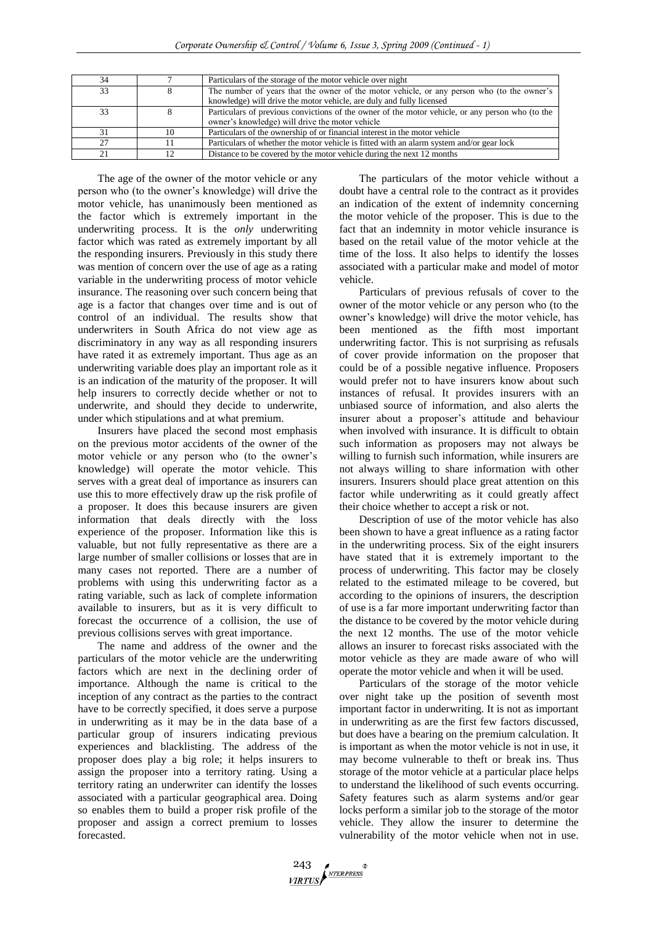| 34 |    | Particulars of the storage of the motor vehicle over night                                       |
|----|----|--------------------------------------------------------------------------------------------------|
| 33 |    | The number of years that the owner of the motor vehicle, or any person who (to the owner's       |
|    |    | knowledge) will drive the motor vehicle, are duly and fully licensed                             |
| 33 |    | Particulars of previous convictions of the owner of the motor vehicle, or any person who (to the |
|    |    | owner's knowledge) will drive the motor vehicle                                                  |
| 31 | 10 | Particulars of the ownership of or financial interest in the motor vehicle                       |
| 27 |    | Particulars of whether the motor vehicle is fitted with an alarm system and/or gear lock         |
| 21 |    | Distance to be covered by the motor vehicle during the next 12 months                            |

The age of the owner of the motor vehicle or any person who (to the owner's knowledge) will drive the motor vehicle, has unanimously been mentioned as the factor which is extremely important in the underwriting process. It is the *only* underwriting factor which was rated as extremely important by all the responding insurers. Previously in this study there was mention of concern over the use of age as a rating variable in the underwriting process of motor vehicle insurance. The reasoning over such concern being that age is a factor that changes over time and is out of control of an individual. The results show that underwriters in South Africa do not view age as discriminatory in any way as all responding insurers have rated it as extremely important. Thus age as an underwriting variable does play an important role as it is an indication of the maturity of the proposer. It will help insurers to correctly decide whether or not to underwrite, and should they decide to underwrite, under which stipulations and at what premium.

Insurers have placed the second most emphasis on the previous motor accidents of the owner of the motor vehicle or any person who (to the owner's knowledge) will operate the motor vehicle. This serves with a great deal of importance as insurers can use this to more effectively draw up the risk profile of a proposer. It does this because insurers are given information that deals directly with the loss experience of the proposer. Information like this is valuable, but not fully representative as there are a large number of smaller collisions or losses that are in many cases not reported. There are a number of problems with using this underwriting factor as a rating variable, such as lack of complete information available to insurers, but as it is very difficult to forecast the occurrence of a collision, the use of previous collisions serves with great importance.

The name and address of the owner and the particulars of the motor vehicle are the underwriting factors which are next in the declining order of importance. Although the name is critical to the inception of any contract as the parties to the contract have to be correctly specified, it does serve a purpose in underwriting as it may be in the data base of a particular group of insurers indicating previous experiences and blacklisting. The address of the proposer does play a big role; it helps insurers to assign the proposer into a territory rating. Using a territory rating an underwriter can identify the losses associated with a particular geographical area. Doing so enables them to build a proper risk profile of the proposer and assign a correct premium to losses forecasted.

The particulars of the motor vehicle without a doubt have a central role to the contract as it provides an indication of the extent of indemnity concerning the motor vehicle of the proposer. This is due to the fact that an indemnity in motor vehicle insurance is based on the retail value of the motor vehicle at the time of the loss. It also helps to identify the losses associated with a particular make and model of motor vehicle.

Particulars of previous refusals of cover to the owner of the motor vehicle or any person who (to the owner's knowledge) will drive the motor vehicle, has been mentioned as the fifth most important underwriting factor. This is not surprising as refusals of cover provide information on the proposer that could be of a possible negative influence. Proposers would prefer not to have insurers know about such instances of refusal. It provides insurers with an unbiased source of information, and also alerts the insurer about a proposer's attitude and behaviour when involved with insurance. It is difficult to obtain such information as proposers may not always be willing to furnish such information, while insurers are not always willing to share information with other insurers. Insurers should place great attention on this factor while underwriting as it could greatly affect their choice whether to accept a risk or not.

Description of use of the motor vehicle has also been shown to have a great influence as a rating factor in the underwriting process. Six of the eight insurers have stated that it is extremely important to the process of underwriting. This factor may be closely related to the estimated mileage to be covered, but according to the opinions of insurers, the description of use is a far more important underwriting factor than the distance to be covered by the motor vehicle during the next 12 months. The use of the motor vehicle allows an insurer to forecast risks associated with the motor vehicle as they are made aware of who will operate the motor vehicle and when it will be used.

Particulars of the storage of the motor vehicle over night take up the position of seventh most important factor in underwriting. It is not as important in underwriting as are the first few factors discussed, but does have a bearing on the premium calculation. It is important as when the motor vehicle is not in use, it may become vulnerable to theft or break ins. Thus storage of the motor vehicle at a particular place helps to understand the likelihood of such events occurring. Safety features such as alarm systems and/or gear locks perform a similar job to the storage of the motor vehicle. They allow the insurer to determine the vulnerability of the motor vehicle when not in use.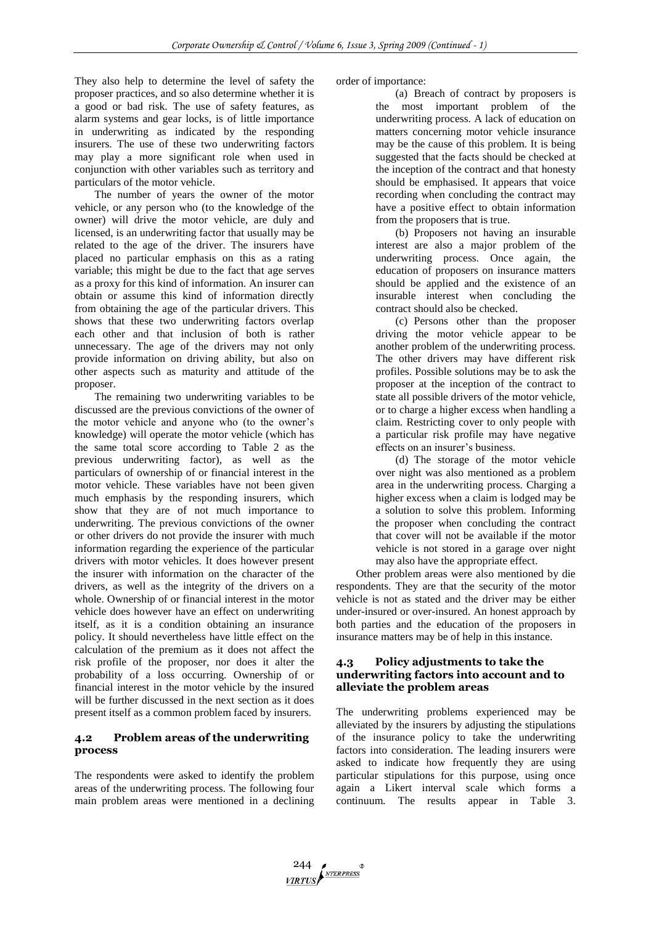They also help to determine the level of safety the proposer practices, and so also determine whether it is a good or bad risk. The use of safety features, as alarm systems and gear locks, is of little importance in underwriting as indicated by the responding insurers. The use of these two underwriting factors may play a more significant role when used in conjunction with other variables such as territory and particulars of the motor vehicle.

The number of years the owner of the motor vehicle, or any person who (to the knowledge of the owner) will drive the motor vehicle, are duly and licensed, is an underwriting factor that usually may be related to the age of the driver. The insurers have placed no particular emphasis on this as a rating variable; this might be due to the fact that age serves as a proxy for this kind of information. An insurer can obtain or assume this kind of information directly from obtaining the age of the particular drivers. This shows that these two underwriting factors overlap each other and that inclusion of both is rather unnecessary. The age of the drivers may not only provide information on driving ability, but also on other aspects such as maturity and attitude of the proposer.

The remaining two underwriting variables to be discussed are the previous convictions of the owner of the motor vehicle and anyone who (to the owner's knowledge) will operate the motor vehicle (which has the same total score according to Table 2 as the previous underwriting factor), as well as the particulars of ownership of or financial interest in the motor vehicle. These variables have not been given much emphasis by the responding insurers, which show that they are of not much importance to underwriting. The previous convictions of the owner or other drivers do not provide the insurer with much information regarding the experience of the particular drivers with motor vehicles. It does however present the insurer with information on the character of the drivers, as well as the integrity of the drivers on a whole. Ownership of or financial interest in the motor vehicle does however have an effect on underwriting itself, as it is a condition obtaining an insurance policy. It should nevertheless have little effect on the calculation of the premium as it does not affect the risk profile of the proposer, nor does it alter the probability of a loss occurring. Ownership of or financial interest in the motor vehicle by the insured will be further discussed in the next section as it does present itself as a common problem faced by insurers.

# **4.2 Problem areas of the underwriting process**

The respondents were asked to identify the problem areas of the underwriting process. The following four main problem areas were mentioned in a declining order of importance:

(a) Breach of contract by proposers is the most important problem of the underwriting process. A lack of education on matters concerning motor vehicle insurance may be the cause of this problem. It is being suggested that the facts should be checked at the inception of the contract and that honesty should be emphasised. It appears that voice recording when concluding the contract may have a positive effect to obtain information from the proposers that is true.

(b) Proposers not having an insurable interest are also a major problem of the underwriting process. Once again, the education of proposers on insurance matters should be applied and the existence of an insurable interest when concluding the contract should also be checked.

(c) Persons other than the proposer driving the motor vehicle appear to be another problem of the underwriting process. The other drivers may have different risk profiles. Possible solutions may be to ask the proposer at the inception of the contract to state all possible drivers of the motor vehicle, or to charge a higher excess when handling a claim. Restricting cover to only people with a particular risk profile may have negative effects on an insurer's business.

(d) The storage of the motor vehicle over night was also mentioned as a problem area in the underwriting process. Charging a higher excess when a claim is lodged may be a solution to solve this problem. Informing the proposer when concluding the contract that cover will not be available if the motor vehicle is not stored in a garage over night may also have the appropriate effect.

Other problem areas were also mentioned by die respondents. They are that the security of the motor vehicle is not as stated and the driver may be either under-insured or over-insured. An honest approach by both parties and the education of the proposers in insurance matters may be of help in this instance.

# **4.3 Policy adjustments to take the underwriting factors into account and to alleviate the problem areas**

The underwriting problems experienced may be alleviated by the insurers by adjusting the stipulations of the insurance policy to take the underwriting factors into consideration. The leading insurers were asked to indicate how frequently they are using particular stipulations for this purpose, using once again a Likert interval scale which forms a continuum. The results appear in Table 3.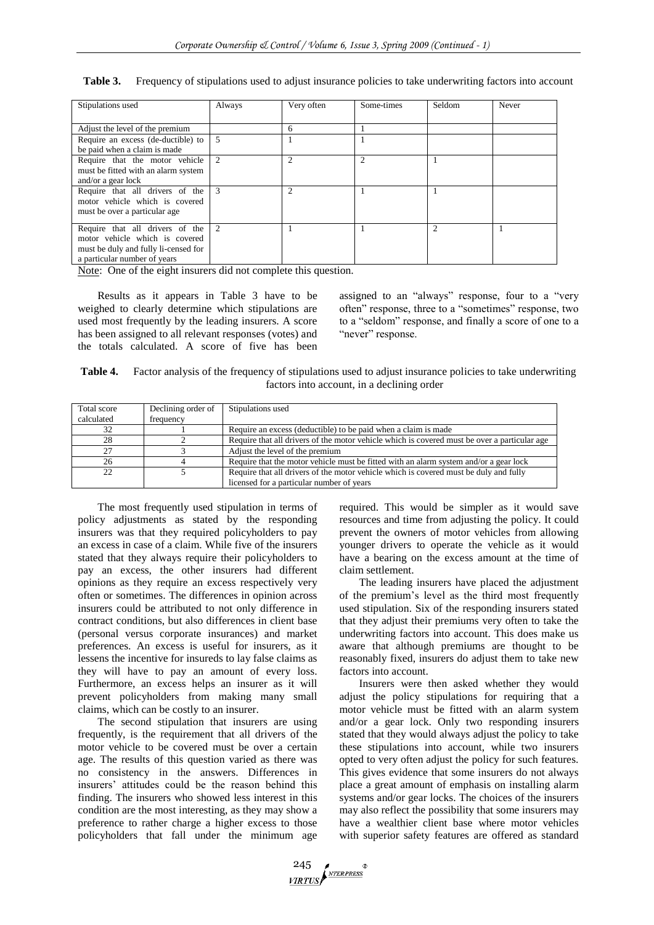|  |  |  | Table 3. Frequency of stipulations used to adjust insurance policies to take underwriting factors into account |
|--|--|--|----------------------------------------------------------------------------------------------------------------|
|--|--|--|----------------------------------------------------------------------------------------------------------------|

| Stipulations used                            | Always | Very often     | Some-times    | Seldom        | Never |
|----------------------------------------------|--------|----------------|---------------|---------------|-------|
|                                              |        |                |               |               |       |
| Adjust the level of the premium              |        | 6              |               |               |       |
| Require an excess (de-ductible) to $\vert$ 5 |        |                |               |               |       |
| be paid when a claim is made                 |        |                |               |               |       |
| Require that the motor vehicle 2             |        | $\mathfrak{D}$ | $\mathcal{L}$ |               |       |
| must be fitted with an alarm system          |        |                |               |               |       |
| and/or a gear lock                           |        |                |               |               |       |
| Require that all drivers of the 3            |        | $\mathfrak{D}$ |               |               |       |
| motor vehicle which is covered               |        |                |               |               |       |
| must be over a particular age                |        |                |               |               |       |
| Require that all drivers of the 2            |        |                |               | $\mathcal{D}$ |       |
| motor vehicle which is covered               |        |                |               |               |       |
| must be duly and fully li-censed for         |        |                |               |               |       |
| a particular number of years                 |        |                |               |               |       |

Note: One of the eight insurers did not complete this question.

Results as it appears in Table 3 have to be weighed to clearly determine which stipulations are used most frequently by the leading insurers. A score has been assigned to all relevant responses (votes) and the totals calculated. A score of five has been assigned to an "always" response, four to a "very often" response, three to a "sometimes" response, two to a "seldom" response, and finally a score of one to a "never" response.

| Table 4. | Factor analysis of the frequency of stipulations used to adjust insurance policies to take underwriting |
|----------|---------------------------------------------------------------------------------------------------------|
|          | factors into account, in a declining order                                                              |

| Total score | Declining order of | Stipulations used                                                                            |
|-------------|--------------------|----------------------------------------------------------------------------------------------|
| calculated  | frequency          |                                                                                              |
| 32          |                    | Require an excess (deductible) to be paid when a claim is made                               |
| 28          |                    | Require that all drivers of the motor vehicle which is covered must be over a particular age |
| 27          |                    | Adjust the level of the premium                                                              |
| 26          |                    | Require that the motor vehicle must be fitted with an alarm system and/or a gear lock        |
| 22          |                    | Require that all drivers of the motor vehicle which is covered must be duly and fully        |
|             |                    | licensed for a particular number of years                                                    |

The most frequently used stipulation in terms of policy adjustments as stated by the responding insurers was that they required policyholders to pay an excess in case of a claim. While five of the insurers stated that they always require their policyholders to pay an excess, the other insurers had different opinions as they require an excess respectively very often or sometimes. The differences in opinion across insurers could be attributed to not only difference in contract conditions, but also differences in client base (personal versus corporate insurances) and market preferences. An excess is useful for insurers, as it lessens the incentive for insureds to lay false claims as they will have to pay an amount of every loss. Furthermore, an excess helps an insurer as it will prevent policyholders from making many small claims, which can be costly to an insurer.

The second stipulation that insurers are using frequently, is the requirement that all drivers of the motor vehicle to be covered must be over a certain age. The results of this question varied as there was no consistency in the answers. Differences in insurers' attitudes could be the reason behind this finding. The insurers who showed less interest in this condition are the most interesting, as they may show a preference to rather charge a higher excess to those policyholders that fall under the minimum age

required. This would be simpler as it would save resources and time from adjusting the policy. It could prevent the owners of motor vehicles from allowing younger drivers to operate the vehicle as it would have a bearing on the excess amount at the time of claim settlement.

The leading insurers have placed the adjustment of the premium's level as the third most frequently used stipulation. Six of the responding insurers stated that they adjust their premiums very often to take the underwriting factors into account. This does make us aware that although premiums are thought to be reasonably fixed, insurers do adjust them to take new factors into account.

Insurers were then asked whether they would adjust the policy stipulations for requiring that a motor vehicle must be fitted with an alarm system and/or a gear lock. Only two responding insurers stated that they would always adjust the policy to take these stipulations into account, while two insurers opted to very often adjust the policy for such features. This gives evidence that some insurers do not always place a great amount of emphasis on installing alarm systems and/or gear locks. The choices of the insurers may also reflect the possibility that some insurers may have a wealthier client base where motor vehicles with superior safety features are offered as standard